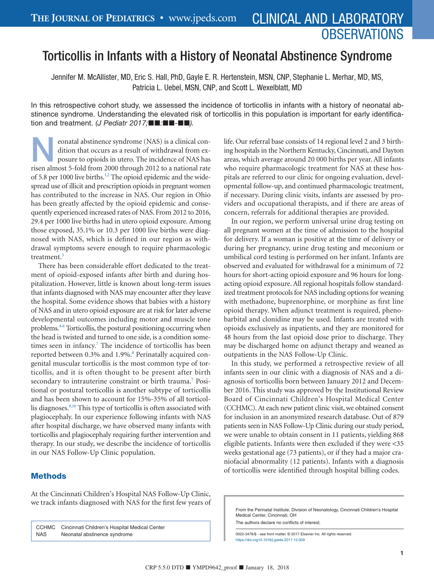# Torticollis in Infants with a History of Neonatal Abstinence Syndrome

Jennifer M. McAllister, MD, Eric S. Hall, PhD, Gayle E. R. Hertenstein, MSN, CNP, Stephanie L. Merhar, MD, MS, Patricia L. Uebel, MSN, CNP, and Scott L. Wexelblatt, MD

In this retrospective cohort study, we assessed the incidence of torticollis in infants with a history of neonatal abstinence syndrome. Understanding the elevated risk of torticollis in this population is important for early identification and treatment. (J Pediatr 2017;■■:■■-■■).

eonatal abstinence syndrome (NAS) is a clinical condition that occurs as a result of withdrawal from exposure to opioids in utero. The incidence of NAS has risen almost 5-fold from 2000 through 2012 to a national rate of 5.8 per 1000 live births.<sup>1,2</sup> The opioid epidemic and the widespread use of illicit and prescription opioids in pregnant women has contributed to the increase in NAS. Our region in Ohio has been greatly affected by the opioid epidemic and consequently experienced increased rates of NAS. From 2012 to 2016, 29.4 per 1000 live births had in utero opioid exposure. Among those exposed, 35.1% or 10.3 per 1000 live births were diagnosed with NAS, which is defined in our region as withdrawal symptoms severe enough to require pharmacologic treatment.<sup>3</sup>

There has been considerable effort dedicated to the treatment of opioid-exposed infants after birth and during hospitalization. However, little is known about long-term issues that infants diagnosed with NAS may encounter after they leave the hospital. Some evidence shows that babies with a history of NAS and in utero opioid exposure are at risk for later adverse developmental outcomes including motor and muscle tone problems[.4-6](#page-3-2) Torticollis, the postural positioning occurring when the head is twisted and turned to one side, is a condition sometimes seen in infancy.<sup>7</sup> The incidence of torticollis has been reported between 0.3% and 1.9%.<sup>8</sup> Perinatally acquired congenital muscular torticollis is the most common type of torticollis, and it is often thought to be present after birth secondary to intrauterine constraint or birth trauma.<sup>7</sup> Positional or postural torticollis is another subtype of torticollis and has been shown to account for 15%-35% of all torticollis diagnoses.<sup>9,10</sup> This type of torticollis is often associated with plagiocephaly. In our experience following infants with NAS after hospital discharge, we have observed many infants with torticollis and plagiocephaly requiring further intervention and therapy. In our study, we describe the incidence of torticollis in our NAS Follow-Up Clinic population.

### Methods

At the Cincinnati Children's Hospital NAS Follow-Up Clinic, we track infants diagnosed with NAS for the first few years of

CCHMC Cincinnati Children's Hospital Medical Center NAS Neonatal abstinence syndrome

life. Our referral base consists of 14 regional level 2 and 3 birthing hospitals in the Northern Kentucky, Cincinnati, and Dayton areas, which average around 20 000 births per year. All infants who require pharmacologic treatment for NAS at these hospitals are referred to our clinic for ongoing evaluation, developmental follow-up, and continued pharmacologic treatment, if necessary. During clinic visits, infants are assessed by providers and occupational therapists, and if there are areas of concern, referrals for additional therapies are provided.

In our region, we perform universal urine drug testing on all pregnant women at the time of admission to the hospital for delivery. If a woman is positive at the time of delivery or during her pregnancy, urine drug testing and meconium or umbilical cord testing is performed on her infant. Infants are observed and evaluated for withdrawal for a minimum of 72 hours for short-acting opioid exposure and 96 hours for longacting opioid exposure. All regional hospitals follow standardized treatment protocols for NAS including options for weaning with methadone, buprenorphine, or morphine as first line opioid therapy. When adjunct treatment is required, phenobarbital and clonidine may be used. Infants are treated with opioids exclusively as inpatients, and they are monitored for 48 hours from the last opioid dose prior to discharge. They may be discharged home on adjunct therapy and weaned as outpatients in the NAS Follow-Up Clinic.

In this study, we performed a retrospective review of all infants seen in our clinic with a diagnosis of NAS and a diagnosis of torticollis born between January 2012 and December 2016. This study was approved by the Institutional Review Board of Cincinnati Children's Hospital Medical Center (CCHMC). At each new patient clinic visit, we obtained consent for inclusion in an anonymized research database. Out of 879 patients seen in NAS Follow-Up Clinic during our study period, we were unable to obtain consent in 11 patients, yielding 868 eligible patients. Infants were then excluded if they were <35 weeks gestational age (73 patients), or if they had a major craniofacial abnormality (12 patients). Infants with a diagnosis of torticollis were identified through hospital billing codes.

From the Perinatal Institute, Division of Neonatology, Cincinnati Children's Hospital Medical Center, Cincinnati, OH

The authors declare no conflicts of interest.

0022-3476/\$ - see front matter. © 2017 Elsevier Inc. All rights reserved. https://doi.org10.1016/j.jpeds.2017.12.009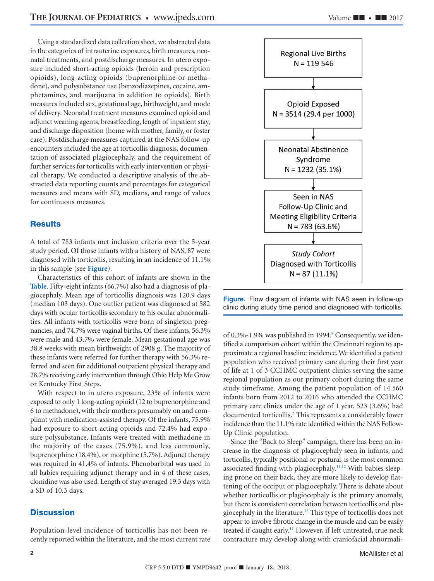Using a standardized data collection sheet, we abstracted data in the categories of intrauterine exposures, birth measures, neonatal treatments, and postdischarge measures. In utero exposure included short-acting opioids (heroin and prescription opioids), long-acting opioids (buprenorphine or methadone), and polysubstance use (benzodiazepines, cocaine, amphetamines, and marijuana in addition to opioids). Birth measures included sex, gestational age, birthweight, and mode of delivery. Neonatal treatment measures examined opioid and adjunct weaning agents, breastfeeding, length of inpatient stay, and discharge disposition (home with mother, family, or foster care). Postdischarge measures captured at the NAS follow-up encounters included the age at torticollis diagnosis, documentation of associated plagiocephaly, and the requirement of further services for torticollis with early intervention or physical therapy. We conducted a descriptive analysis of the abstracted data reporting counts and percentages for categorical measures and means with SD, medians, and range of values for continuous measures.

#### **Results**

A total of 783 infants met inclusion criteria over the 5-year study period. Of those infants with a history of NAS, 87 were diagnosed with torticollis, resulting in an incidence of 11.1% in this sample (see **Figure**).

Characteristics of this cohort of infants are shown in the **[Table](#page-2-0)**. Fifty-eight infants (66.7%) also had a diagnosis of plagiocephaly. Mean age of torticollis diagnosis was 120.9 days (median 103 days). One outlier patient was diagnosed at 582 days with ocular torticollis secondary to his ocular abnormalities. All infants with torticollis were born of singleton pregnancies, and 74.7% were vaginal births. Of these infants, 56.3% were male and 43.7% were female. Mean gestational age was 38.8 weeks with mean birthweight of 2908 g. The majority of these infants were referred for further therapy with 56.3% referred and seen for additional outpatient physical therapy and 28.7% receiving early intervention through Ohio Help Me Grow or Kentucky First Steps.

With respect to in utero exposure, 23% of infants were exposed to only 1 long-acting opioid (12 to buprenorphine and 6 to methadone), with their mothers presumably on and compliant with medication-assisted therapy. Of the infants, 75.9% had exposure to short-acting opioids and 72.4% had exposure polysubstance. Infants were treated with methadone in the majority of the cases (75.9%), and less commonly, buprenorphine (18.4%), or morphine (5.7%). Adjunct therapy was required in 41.4% of infants. Phenobarbital was used in all babies requiring adjunct therapy and in 4 of these cases, clonidine was also used. Length of stay averaged 19.3 days with a SD of 10.3 days.

#### **Discussion**

Population-level incidence of torticollis has not been recently reported within the literature, and the most current rate



**Figure.** Flow diagram of infants with NAS seen in follow-up clinic during study time period and diagnosed with torticollis.

of 0.3%-1.9% was published in 1994.<sup>8</sup> Consequently, we identified a comparison cohort within the Cincinnati region to approximate a regional baseline incidence.We identified a patient population who received primary care during their first year of life at 1 of 3 CCHMC outpatient clinics serving the same regional population as our primary cohort during the same study timeframe. Among the patient population of 14 560 infants born from 2012 to 2016 who attended the CCHMC primary care clinics under the age of 1 year, 523 (3.6%) had documented torticollis[.3](#page-3-1) This represents a considerably lower incidence than the 11.1% rate identified within the NAS Follow-Up Clinic population.

Since the "Back to Sleep" campaign, there has been an increase in the diagnosis of plagiocephaly seen in infants, and torticollis, typically positional or postural, is the most common associated finding with plagiocephaly.<sup>11,12</sup> With babies sleeping prone on their back, they are more likely to develop flattening of the occiput or plagiocephaly. There is debate about whether torticollis or plagiocephaly is the primary anomaly, but there is consistent correlation between torticollis and plagiocephaly in the literature.<sup>13</sup> This type of torticollis does not appear to involve fibrotic change in the muscle and can be easily treated if caught early.<sup>11</sup> However, if left untreated, true neck contracture may develop along with craniofacial abnormali-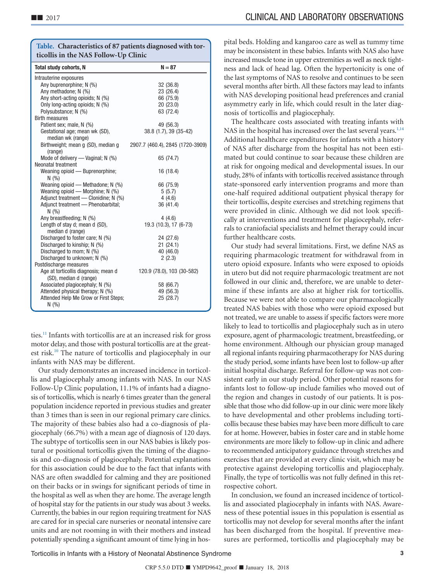<span id="page-2-0"></span>

| Table. Characteristics of 87 patients diagnosed with tor- |
|-----------------------------------------------------------|
| ticollis in the NAS Follow-Up Clinic                      |

| <b>Total study cohorts, N</b>                 | $N = 87$                         |  |
|-----------------------------------------------|----------------------------------|--|
| Intrauterine exposures                        |                                  |  |
| Any buprenorphine; N (%)                      | 32 (36.8)                        |  |
| Any methadone; N (%)                          | 23 (26.4)                        |  |
| Any short-acting opioids; N (%)               | 66 (75.9)                        |  |
| Only long-acting opioids; N (%)               | 20 (23.0)                        |  |
| Polysubstance; N (%)                          | 63 (72.4)                        |  |
| <b>Birth measures</b>                         |                                  |  |
| Patient sex; male, N (%)                      | 49 (56.3)                        |  |
| Gestational age; mean wk (SD),                | 38.8 (1.7), 39 (35-42)           |  |
| median wk (range)                             |                                  |  |
| Birthweight; mean g (SD), median g<br>(range) | 2907.7 (460.4), 2845 (1720-3909) |  |
| Mode of delivery - Vaginal; N (%)             | 65 (74.7)                        |  |
| Neonatal treatment                            |                                  |  |
| Weaning opioid - Buprenorphine;<br>N(%)       | 16 (18.4)                        |  |
| Weaning opioid — Methadone; N (%)             | 66 (75.9)                        |  |
| Weaning opioid - Morphine; N (%)              | 5(5.7)                           |  |
| Adjunct treatment - Clonidine; N (%)          | 4(4.6)                           |  |
| Adjunct treatment - Phenobarbital;            | 36 (41.4)                        |  |
| N(%)                                          |                                  |  |
| Any breastfeeding; N (%)                      | 4(4.6)                           |  |
| Length of stay d; mean d (SD),                | 19.3 (10.3), 17 (6-73)           |  |
| median d (range)                              |                                  |  |
| Discharged to foster care; N (%)              | 24 (27.6)                        |  |
| Discharged to kinship; N (%)                  | 21(24.1)                         |  |
| Discharged to mom; N (%)                      | 40 (46.0)                        |  |
| Discharged to unknown; N (%)                  | 2(2.3)                           |  |
| Postdischarge measures                        |                                  |  |
| Age at torticollis diagnosis; mean d          | 120.9 (78.0), 103 (30-582)       |  |
| (SD), median d (range)                        |                                  |  |
| Associated plagiocephaly; N (%)               | 58 (66.7)                        |  |
| Attended physical therapy; N (%)              | 49 (56.3)                        |  |
| Attended Help Me Grow or First Steps;         | 25 (28.7)                        |  |
| N(%)                                          |                                  |  |
|                                               |                                  |  |

ties[.11](#page-3-6) Infants with torticollis are at an increased risk for gross motor delay, and those with postural torticollis are at the greatest risk[.10](#page-3-8) The nature of torticollis and plagiocephaly in our infants with NAS may be different.

Our study demonstrates an increased incidence in torticollis and plagiocephaly among infants with NAS. In our NAS Follow-Up Clinic population, 11.1% of infants had a diagnosis of torticollis, which is nearly 6 times greater than the general population incidence reported in previous studies and greater than 3 times than is seen in our regional primary care clinics. The majority of these babies also had a co-diagnosis of plagiocephaly (66.7%) with a mean age of diagnosis of 120 days. The subtype of torticollis seen in our NAS babies is likely postural or positional torticollis given the timing of the diagnosis and co-diagnosis of plagiocephaly. Potential explanations for this association could be due to the fact that infants with NAS are often swaddled for calming and they are positioned on their backs or in swings for significant periods of time in the hospital as well as when they are home. The average length of hospital stay for the patients in our study was about 3 weeks. Currently, the babies in our region requiring treatment for NAS are cared for in special care nurseries or neonatal intensive care units and are not rooming in with their mothers and instead potentially spending a significant amount of time lying in hos-

pital beds. Holding and kangaroo care as well as tummy time may be inconsistent in these babies. Infants with NAS also have increased muscle tone in upper extremities as well as neck tightness and lack of head lag. Often the hypertonicity is one of the last symptoms of NAS to resolve and continues to be seen several months after birth. All these factors may lead to infants with NAS developing positional head preferences and cranial asymmetry early in life, which could result in the later diagnosis of torticollis and plagiocephaly.

The healthcare costs associated with treating infants with NAS in the hospital has increased over the last several years.<sup>1,14</sup> Additional healthcare expenditures for infants with a history of NAS after discharge from the hospital has not been estimated but could continue to soar because these children are at risk for ongoing medical and developmental issues. In our study, 28% of infants with torticollis received assistance through state-sponsored early intervention programs and more than one-half required additional outpatient physical therapy for their torticollis, despite exercises and stretching regimens that were provided in clinic. Although we did not look specifically at interventions and treatment for plagiocephaly, referrals to craniofacial specialists and helmet therapy could incur further healthcare costs.

Our study had several limitations. First, we define NAS as requiring pharmacologic treatment for withdrawal from in utero opioid exposure. Infants who were exposed to opioids in utero but did not require pharmacologic treatment are not followed in our clinic and, therefore, we are unable to determine if these infants are also at higher risk for torticollis. Because we were not able to compare our pharmacologically treated NAS babies with those who were opioid exposed but not treated, we are unable to assess if specific factors were more likely to lead to torticollis and plagiocephaly such as in utero exposure, agent of pharmacologic treatment, breastfeeding, or home environment. Although our physician group managed all regional infants requiring pharmacotherapy for NAS during the study period, some infants have been lost to follow-up after initial hospital discharge. Referral for follow-up was not consistent early in our study period. Other potential reasons for infants lost to follow-up include families who moved out of the region and changes in custody of our patients. It is possible that those who did follow-up in our clinic were more likely to have developmental and other problems including torticollis because these babies may have been more difficult to care for at home. However, babies in foster care and in stable home environments are more likely to follow-up in clinic and adhere to recommended anticipatory guidance through stretches and exercises that are provided at every clinic visit, which may be protective against developing torticollis and plagiocephaly. Finally, the type of torticollis was not fully defined in this retrospective cohort.

In conclusion, we found an increased incidence of torticollis and associated plagiocephaly in infants with NAS. Awareness of these potential issues in this population is essential as torticollis may not develop for several months after the infant has been discharged from the hospital. If preventive measures are performed, torticollis and plagiocephaly may be

Torticollis in Infants with a History of Neonatal Abstinence Syndrome **3**